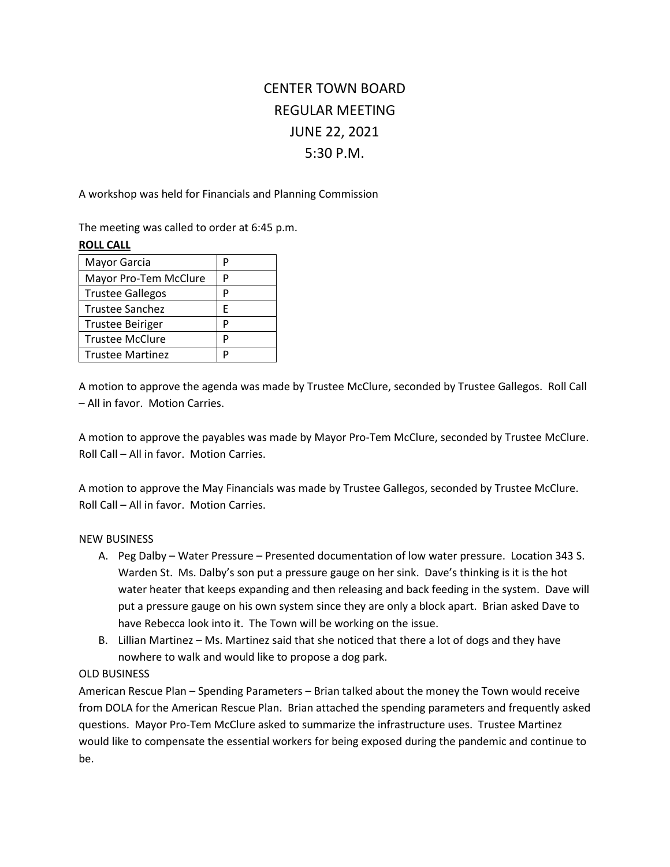# CENTER TOWN BOARD REGULAR MEETING JUNE 22, 2021 5:30 P.M.

A workshop was held for Financials and Planning Commission

The meeting was called to order at 6:45 p.m.

#### **ROLL CALL**

| Mayor Garcia            | р |
|-------------------------|---|
| Mayor Pro-Tem McClure   | P |
| <b>Trustee Gallegos</b> | P |
| <b>Trustee Sanchez</b>  | F |
| <b>Trustee Beiriger</b> | D |
| <b>Trustee McClure</b>  | D |
| <b>Trustee Martinez</b> | D |

A motion to approve the agenda was made by Trustee McClure, seconded by Trustee Gallegos. Roll Call – All in favor. Motion Carries.

A motion to approve the payables was made by Mayor Pro-Tem McClure, seconded by Trustee McClure. Roll Call – All in favor. Motion Carries.

A motion to approve the May Financials was made by Trustee Gallegos, seconded by Trustee McClure. Roll Call – All in favor. Motion Carries.

#### NEW BUSINESS

- A. Peg Dalby Water Pressure Presented documentation of low water pressure. Location 343 S. Warden St. Ms. Dalby's son put a pressure gauge on her sink. Dave's thinking is it is the hot water heater that keeps expanding and then releasing and back feeding in the system. Dave will put a pressure gauge on his own system since they are only a block apart. Brian asked Dave to have Rebecca look into it. The Town will be working on the issue.
- B. Lillian Martinez Ms. Martinez said that she noticed that there a lot of dogs and they have nowhere to walk and would like to propose a dog park.

#### OLD BUSINESS

American Rescue Plan – Spending Parameters – Brian talked about the money the Town would receive from DOLA for the American Rescue Plan. Brian attached the spending parameters and frequently asked questions. Mayor Pro-Tem McClure asked to summarize the infrastructure uses. Trustee Martinez would like to compensate the essential workers for being exposed during the pandemic and continue to be.